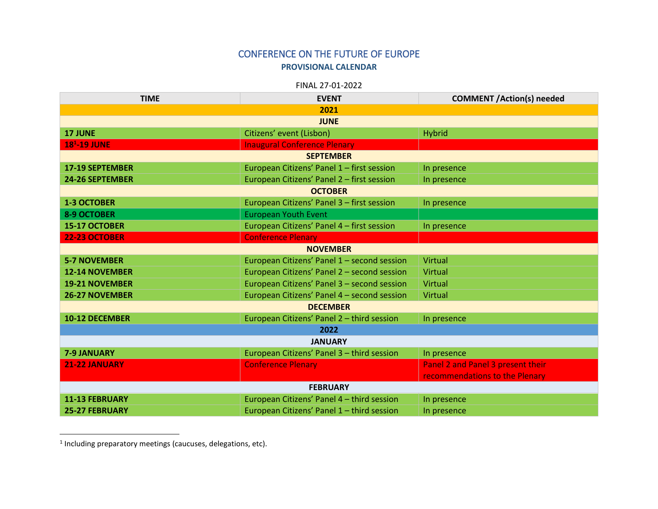## CONFERENCE ON THE FUTURE OF EUROPE **PROVISIONAL CALENDAR**

FINAL 27-01-2022

| <b>TIME</b>                   | <b>EVENT</b>                                | <b>COMMENT /Action(s) needed</b>  |
|-------------------------------|---------------------------------------------|-----------------------------------|
| 2021                          |                                             |                                   |
| <b>JUNE</b>                   |                                             |                                   |
| <b>17 JUNE</b>                | Citizens' event (Lisbon)                    | <b>Hybrid</b>                     |
| <b>18<sup>1</sup>-19 JUNE</b> | <b>Inaugural Conference Plenary</b>         |                                   |
| <b>SEPTEMBER</b>              |                                             |                                   |
| <b>17-19 SEPTEMBER</b>        | European Citizens' Panel 1 - first session  | In presence                       |
| <b>24-26 SEPTEMBER</b>        | European Citizens' Panel 2 - first session  | In presence                       |
| <b>OCTOBER</b>                |                                             |                                   |
| <b>1-3 OCTOBER</b>            | European Citizens' Panel 3 - first session  | In presence                       |
| <b>8-9 OCTOBER</b>            | <b>European Youth Event</b>                 |                                   |
| 15-17 OCTOBER                 | European Citizens' Panel 4 - first session  | In presence                       |
| 22-23 OCTOBER                 | <b>Conference Plenary</b>                   |                                   |
| <b>NOVEMBER</b>               |                                             |                                   |
| <b>5-7 NOVEMBER</b>           | European Citizens' Panel 1 - second session | Virtual                           |
| <b>12-14 NOVEMBER</b>         | European Citizens' Panel 2 - second session | Virtual                           |
| <b>19-21 NOVEMBER</b>         | European Citizens' Panel 3 - second session | Virtual                           |
| <b>26-27 NOVEMBER</b>         | European Citizens' Panel 4 - second session | Virtual                           |
| <b>DECEMBER</b>               |                                             |                                   |
| 10-12 DECEMBER                | European Citizens' Panel 2 - third session  | In presence                       |
| 2022                          |                                             |                                   |
| <b>JANUARY</b>                |                                             |                                   |
| 7-9 JANUARY                   | European Citizens' Panel 3 - third session  | In presence                       |
| 21-22 JANUARY                 | <b>Conference Plenary</b>                   | Panel 2 and Panel 3 present their |
|                               |                                             | recommendations to the Plenary    |
| <b>FEBRUARY</b>               |                                             |                                   |
| <b>11-13 FEBRUARY</b>         | European Citizens' Panel 4 - third session  | In presence                       |
| <b>25-27 FEBRUARY</b>         | European Citizens' Panel 1 - third session  | In presence                       |

1 Including preparatory meetings (caucuses, delegations, etc).